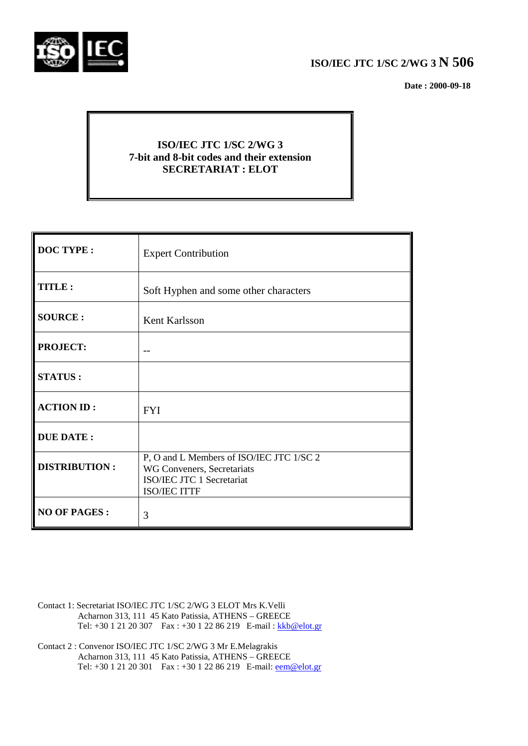

## **ISO/IEC JTC 1/SC 2/WG 3 N 506**

 **Date : 2000-09-18**

## **ISO/IEC JTC 1/SC 2/WG 3 7-bit and 8-bit codes and their extension SECRETARIAT : ELOT**

| <b>DOC TYPE:</b>     | <b>Expert Contribution</b>                                                                                          |
|----------------------|---------------------------------------------------------------------------------------------------------------------|
| TITLE:               | Soft Hyphen and some other characters                                                                               |
| <b>SOURCE:</b>       | <b>Kent Karlsson</b>                                                                                                |
| <b>PROJECT:</b>      |                                                                                                                     |
| <b>STATUS:</b>       |                                                                                                                     |
| <b>ACTION ID:</b>    | <b>FYI</b>                                                                                                          |
| <b>DUE DATE:</b>     |                                                                                                                     |
| <b>DISTRIBUTION:</b> | P, O and L Members of ISO/IEC JTC 1/SC 2<br>WG Conveners, Secretariats<br>ISO/IEC JTC 1 Secretariat<br>ISO/IEC ITTF |
| <b>NO OF PAGES:</b>  | 3                                                                                                                   |

- Contact 1: Secretariat ISO/IEC JTC 1/SC 2/WG 3 ELOT Mrs K.Velli Acharnon 313, 111 45 Kato Patissia, ATHENS – GREECE Tel: +30 1 21 20 307 Fax : +30 1 22 86 219 E-mail : kkb@elot.gr
- Contact 2 : Convenor ISO/IEC JTC 1/SC 2/WG 3 Mr E.Melagrakis Acharnon 313, 111 45 Kato Patissia, ATHENS – GREECE Tel: +30 1 21 20 301 Fax : +30 1 22 86 219 E-mail: <u>eem@elot.gr</u>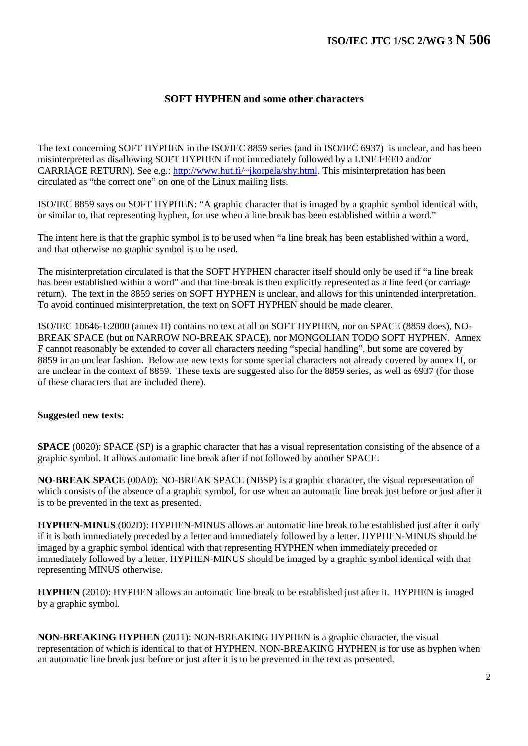## **SOFT HYPHEN and some other characters**

The text concerning SOFT HYPHEN in the ISO/IEC 8859 series (and in ISO/IEC 6937) is unclear, and has been misinterpreted as disallowing SOFT HYPHEN if not immediately followed by a LINE FEED and/or CARRIAGE RETURN). See e.g.: http://www.hut.fi/~jkorpela/shy.html. This misinterpretation has been circulated as "the correct one" on one of the Linux mailing lists.

ISO/IEC 8859 says on SOFT HYPHEN: "A graphic character that is imaged by a graphic symbol identical with, or similar to, that representing hyphen, for use when a line break has been established within a word."

The intent here is that the graphic symbol is to be used when "a line break has been established within a word, and that otherwise no graphic symbol is to be used.

The misinterpretation circulated is that the SOFT HYPHEN character itself should only be used if "a line break has been established within a word" and that line-break is then explicitly represented as a line feed (or carriage return). The text in the 8859 series on SOFT HYPHEN is unclear, and allows for this unintended interpretation. To avoid continued misinterpretation, the text on SOFT HYPHEN should be made clearer.

ISO/IEC 10646-1:2000 (annex H) contains no text at all on SOFT HYPHEN, nor on SPACE (8859 does), NO-BREAK SPACE (but on NARROW NO-BREAK SPACE), nor MONGOLIAN TODO SOFT HYPHEN. Annex F cannot reasonably be extended to cover all characters needing "special handling", but some are covered by 8859 in an unclear fashion. Below are new texts for some special characters not already covered by annex H, or are unclear in the context of 8859. These texts are suggested also for the 8859 series, as well as 6937 (for those of these characters that are included there).

## **Suggested new texts:**

**SPACE** (0020): SPACE (SP) is a graphic character that has a visual representation consisting of the absence of a graphic symbol. It allows automatic line break after if not followed by another SPACE.

**NO-BREAK SPACE** (00A0): NO-BREAK SPACE (NBSP) is a graphic character, the visual representation of which consists of the absence of a graphic symbol, for use when an automatic line break just before or just after it is to be prevented in the text as presented.

**HYPHEN-MINUS** (002D): HYPHEN-MINUS allows an automatic line break to be established just after it only if it is both immediately preceded by a letter and immediately followed by a letter. HYPHEN-MINUS should be imaged by a graphic symbol identical with that representing HYPHEN when immediately preceded or immediately followed by a letter. HYPHEN-MINUS should be imaged by a graphic symbol identical with that representing MINUS otherwise.

**HYPHEN** (2010): HYPHEN allows an automatic line break to be established just after it. HYPHEN is imaged by a graphic symbol.

**NON-BREAKING HYPHEN** (2011): NON-BREAKING HYPHEN is a graphic character, the visual representation of which is identical to that of HYPHEN. NON-BREAKING HYPHEN is for use as hyphen when an automatic line break just before or just after it is to be prevented in the text as presented.